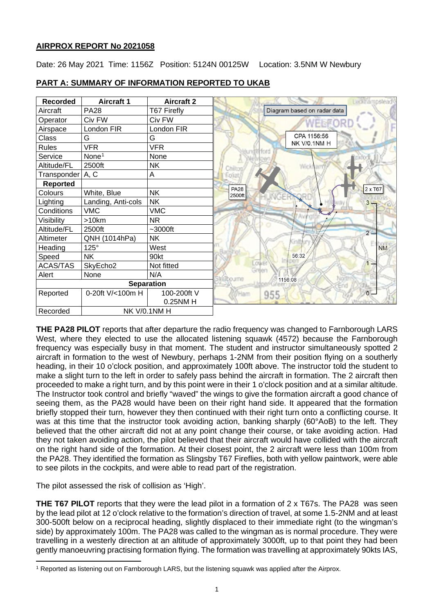## **AIRPROX REPORT No 2021058**

Date: 26 May 2021 Time: 1156Z Position: 5124N 00125W Location: 3.5NM W Newbury

| <b>Recorded</b>    | <b>Aircraft 1</b>  | <b>Aircraft 2</b> | eckhámpstead                     |
|--------------------|--------------------|-------------------|----------------------------------|
| Aircraft           | <b>PA28</b>        | T67 Firefly       | Diagram based on radar data      |
| Operator           | Civ FW             | Civ FW            |                                  |
| Airspace           | London FIR         | London FIR        |                                  |
| Class              | G                  | G                 | CPA 1156:56                      |
| <b>Rules</b>       | <b>VFR</b>         | <b>VFR</b>        | NK V/0.1NM H                     |
| Service            | None <sup>1</sup>  | None              |                                  |
| Altitude/FL        | 2500ft             | NΚ                | Wick<br>Chilto                   |
| Transponder   A, C |                    | Α                 | Epitat                           |
| Reported           |                    |                   |                                  |
| Colours            | White, Blue        | <b>NK</b>         | 2 x T67<br><b>PA28</b><br>2500ft |
| Lighting           | Landing, Anti-cols | <b>NK</b>         | $3 -$                            |
| Conditions         | <b>VMC</b>         | <b>VMC</b>        |                                  |
| Visibility         | >10km              | <b>NR</b>         |                                  |
| Altitude/FL        | 2500ft             | $~1$ -3000ft      | $2 -$                            |
| Altimeter          | QNH (1014hPa)      | <b>NK</b>         |                                  |
| Heading            | $125^\circ$        | West              | <b>NM</b>                        |
| Speed              | <b>NK</b>          | 90kt              | 56:32                            |
| <b>ACAS/TAS</b>    | SkyEcho2           | Not fitted        | Lower<br>Gnlei                   |
| Alert              | None               | N/A               | <b>albourne</b><br>1156:08       |
| <b>Separation</b>  |                    |                   |                                  |
| Reported           | 0-20ft V/<100m H   | 100-200ft V       | $\mathbf{0}$ .<br>Ham<br>955     |
|                    |                    | 0.25NM H          |                                  |
| Recorded           | NK V/0.1NM H       |                   |                                  |

## **PART A: SUMMARY OF INFORMATION REPORTED TO UKAB**

**THE PA28 PILOT** reports that after departure the radio frequency was changed to Farnborough LARS West, where they elected to use the allocated listening squawk (4572) because the Farnborough frequency was especially busy in that moment. The student and instructor simultaneously spotted 2 aircraft in formation to the west of Newbury, perhaps 1-2NM from their position flying on a southerly heading, in their 10 o'clock position, and approximately 100ft above. The instructor told the student to make a slight turn to the left in order to safely pass behind the aircraft in formation. The 2 aircraft then proceeded to make a right turn, and by this point were in their 1 o'clock position and at a similar altitude. The Instructor took control and briefly "waved" the wings to give the formation aircraft a good chance of seeing them, as the PA28 would have been on their right hand side. It appeared that the formation briefly stopped their turn, however they then continued with their right turn onto a conflicting course. It was at this time that the instructor took avoiding action, banking sharply (60°AoB) to the left. They believed that the other aircraft did not at any point change their course, or take avoiding action. Had they not taken avoiding action, the pilot believed that their aircraft would have collided with the aircraft on the right hand side of the formation. At their closest point, the 2 aircraft were less than 100m from the PA28. They identified the formation as Slingsby T67 Fireflies, both with yellow paintwork, were able to see pilots in the cockpits, and were able to read part of the registration.

The pilot assessed the risk of collision as 'High'.

**THE T67 PILOT** reports that they were the lead pilot in a formation of 2 x T67s. The PA28 was seen by the lead pilot at 12 o'clock relative to the formation's direction of travel, at some 1.5-2NM and at least 300-500ft below on a reciprocal heading, slightly displaced to their immediate right (to the wingman's side) by approximately 100m. The PA28 was called to the wingman as is normal procedure. They were travelling in a westerly direction at an altitude of approximately 3000ft, up to that point they had been gently manoeuvring practising formation flying. The formation was travelling at approximately 90kts IAS,

<span id="page-0-0"></span><sup>&</sup>lt;sup>1</sup> Reported as listening out on Farnborough LARS, but the listening squawk was applied after the Airprox.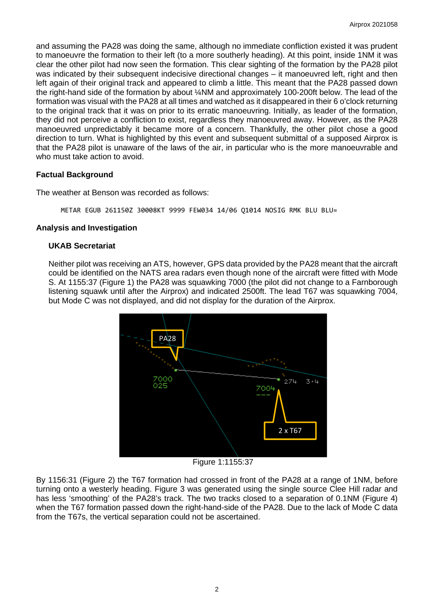and assuming the PA28 was doing the same, although no immediate confliction existed it was prudent to manoeuvre the formation to their left (to a more southerly heading). At this point, inside 1NM it was clear the other pilot had now seen the formation. This clear sighting of the formation by the PA28 pilot was indicated by their subsequent indecisive directional changes – it manoeuvred left, right and then left again of their original track and appeared to climb a little. This meant that the PA28 passed down the right-hand side of the formation by about ¼NM and approximately 100-200ft below. The lead of the formation was visual with the PA28 at all times and watched as it disappeared in their 6 o'clock returning to the original track that it was on prior to its erratic manoeuvring. Initially, as leader of the formation, they did not perceive a confliction to exist, regardless they manoeuvred away. However, as the PA28 manoeuvred unpredictably it became more of a concern. Thankfully, the other pilot chose a good direction to turn. What is highlighted by this event and subsequent submittal of a supposed Airprox is that the PA28 pilot is unaware of the laws of the air, in particular who is the more manoeuvrable and who must take action to avoid.

## **Factual Background**

The weather at Benson was recorded as follows:

METAR EGUB 261150Z 30008KT 9999 FEW034 14/06 Q1014 NOSIG RMK BLU BLU=

## **Analysis and Investigation**

### **UKAB Secretariat**

Neither pilot was receiving an ATS, however, GPS data provided by the PA28 meant that the aircraft could be identified on the NATS area radars even though none of the aircraft were fitted with Mode S. At 1155:37 (Figure 1) the PA28 was squawking 7000 (the pilot did not change to a Farnborough listening squawk until after the Airprox) and indicated 2500ft. The lead T67 was squawking 7004, but Mode C was not displayed, and did not display for the duration of the Airprox.



Figure 1:1155:37

By 1156:31 (Figure 2) the T67 formation had crossed in front of the PA28 at a range of 1NM, before turning onto a westerly heading. Figure 3 was generated using the single source Clee Hill radar and has less 'smoothing' of the PA28's track. The two tracks closed to a separation of 0.1NM (Figure 4) when the T67 formation passed down the right-hand-side of the PA28. Due to the lack of Mode C data from the T67s, the vertical separation could not be ascertained.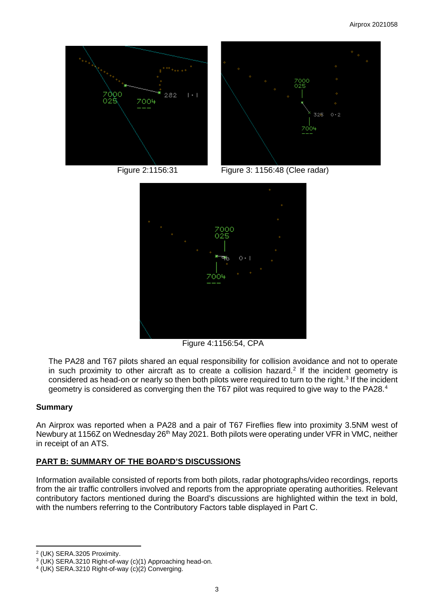



Figure 2:1156:31 Figure 3: 1156:48 (Clee radar)



Figure 4:1156:54, CPA

The PA28 and T67 pilots shared an equal responsibility for collision avoidance and not to operate in such proximity to other aircraft as to create a collision hazard.<sup>[2](#page-2-0)</sup> If the incident geometry is considered as head-on or nearly so then both pilots were required to turn to the right.<sup>[3](#page-2-1)</sup> If the incident geometry is considered as converging then the T67 pilot was required to give way to the PA28.<sup>[4](#page-2-2)</sup>

## **Summary**

An Airprox was reported when a PA28 and a pair of T67 Fireflies flew into proximity 3.5NM west of Newbury at 1156Z on Wednesday 26<sup>th</sup> May 2021. Both pilots were operating under VFR in VMC, neither in receipt of an ATS.

# **PART B: SUMMARY OF THE BOARD'S DISCUSSIONS**

Information available consisted of reports from both pilots, radar photographs/video recordings, reports from the air traffic controllers involved and reports from the appropriate operating authorities. Relevant contributory factors mentioned during the Board's discussions are highlighted within the text in bold, with the numbers referring to the Contributory Factors table displayed in Part C.

<span id="page-2-0"></span><sup>2</sup> (UK) SERA.3205 Proximity.

<span id="page-2-1"></span><sup>&</sup>lt;sup>3</sup> (UK) SERA.3210 Right-of-way (c)(1) Approaching head-on.<br><sup>4</sup> (UK) SERA.3210 Right-of-way (c)(2) Converging.

<span id="page-2-2"></span>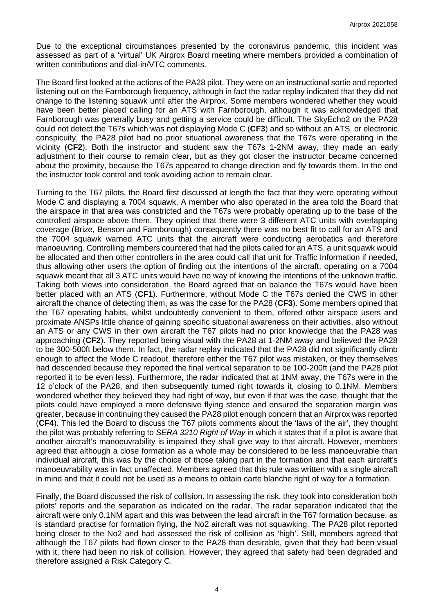Due to the exceptional circumstances presented by the coronavirus pandemic, this incident was assessed as part of a 'virtual' UK Airprox Board meeting where members provided a combination of written contributions and dial-in/VTC comments.

The Board first looked at the actions of the PA28 pilot. They were on an instructional sortie and reported listening out on the Farnborough frequency, although in fact the radar replay indicated that they did not change to the listening squawk until after the Airprox. Some members wondered whether they would have been better placed calling for an ATS with Farnborough, although it was acknowledged that Farnborough was generally busy and getting a service could be difficult. The SkyEcho2 on the PA28 could not detect the T67s which was not displaying Mode C (**CF3**) and so without an ATS, or electronic conspicuity, the PA28 pilot had no prior situational awareness that the T67s were operating in the vicinity (**CF2**). Both the instructor and student saw the T67s 1-2NM away, they made an early adjustment to their course to remain clear, but as they got closer the instructor became concerned about the proximity, because the T67s appeared to change direction and fly towards them. In the end the instructor took control and took avoiding action to remain clear.

Turning to the T67 pilots, the Board first discussed at length the fact that they were operating without Mode C and displaying a 7004 squawk. A member who also operated in the area told the Board that the airspace in that area was constricted and the T67s were probably operating up to the base of the controlled airspace above them. They opined that there were 3 different ATC units with overlapping coverage (Brize, Benson and Farnborough) consequently there was no best fit to call for an ATS and the 7004 squawk warned ATC units that the aircraft were conducting aerobatics and therefore manoeuvring. Controlling members countered that had the pilots called for an ATS, a unit squawk would be allocated and then other controllers in the area could call that unit for Traffic Information if needed, thus allowing other users the option of finding out the intentions of the aircraft, operating on a 7004 squawk meant that all 3 ATC units would have no way of knowing the intentions of the unknown traffic. Taking both views into consideration, the Board agreed that on balance the T67s would have been better placed with an ATS (**CF1**). Furthermore, without Mode C the T67s denied the CWS in other aircraft the chance of detecting them, as was the case for the PA28 (**CF3**). Some members opined that the T67 operating habits, whilst undoubtedly convenient to them, offered other airspace users and proximate ANSPs little chance of gaining specific situational awareness on their activities, also without an ATS or any CWS in their own aircraft the T67 pilots had no prior knowledge that the PA28 was approaching (**CF2**). They reported being visual with the PA28 at 1-2NM away and believed the PA28 to be 300-500ft below them. In fact, the radar replay indicated that the PA28 did not significantly climb enough to affect the Mode C readout, therefore either the T67 pilot was mistaken, or they themselves had descended because they reported the final vertical separation to be 100-200ft (and the PA28 pilot reported it to be even less). Furthermore, the radar indicated that at 1NM away, the T67s were in the 12 o'clock of the PA28, and then subsequently turned right towards it, closing to 0.1NM. Members wondered whether they believed they had right of way, but even if that was the case, thought that the pilots could have employed a more defensive flying stance and ensured the separation margin was greater, because in continuing they caused the PA28 pilot enough concern that an Airprox was reported (**CF4**). This led the Board to discuss the T67 pilots comments about the 'laws of the air', they thought the pilot was probably referring to *SERA 3210 Right of Way* in which it states that if a pilot is aware that another aircraft's manoeuvrability is impaired they shall give way to that aircraft. However, members agreed that although a close formation as a whole may be considered to be less manoeuvrable than individual aircraft, this was by the choice of those taking part in the formation and that each aircraft's manoeuvrability was in fact unaffected. Members agreed that this rule was written with a single aircraft in mind and that it could not be used as a means to obtain carte blanche right of way for a formation.

Finally, the Board discussed the risk of collision. In assessing the risk, they took into consideration both pilots' reports and the separation as indicated on the radar. The radar separation indicated that the aircraft were only 0.1NM apart and this was between the lead aircraft in the T67 formation because, as is standard practise for formation flying, the No2 aircraft was not squawking. The PA28 pilot reported being closer to the No2 and had assessed the risk of collision as 'high'. Still, members agreed that although the T67 pilots had flown closer to the PA28 than desirable, given that they had been visual with it, there had been no risk of collision. However, they agreed that safety had been degraded and therefore assigned a Risk Category C.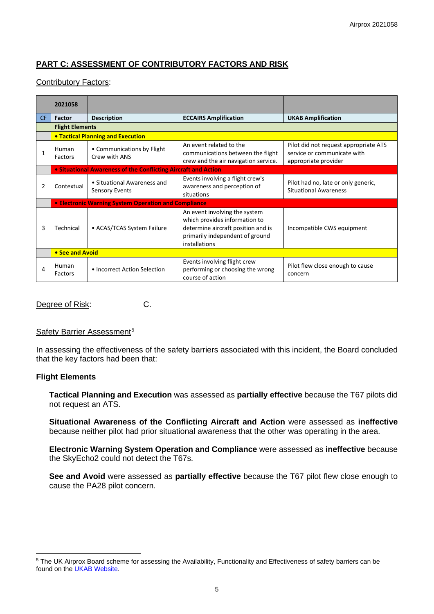# **PART C: ASSESSMENT OF CONTRIBUTORY FACTORS AND RISK**

## Contributory Factors:

|     | 2021058                                                        |                                                      |                                                                                                                                                          |                                                                                              |  |  |  |
|-----|----------------------------------------------------------------|------------------------------------------------------|----------------------------------------------------------------------------------------------------------------------------------------------------------|----------------------------------------------------------------------------------------------|--|--|--|
| CF. | <b>Factor</b>                                                  | <b>Description</b>                                   | <b>ECCAIRS Amplification</b>                                                                                                                             | <b>UKAB Amplification</b>                                                                    |  |  |  |
|     | <b>Flight Elements</b>                                         |                                                      |                                                                                                                                                          |                                                                                              |  |  |  |
|     | <b>• Tactical Planning and Execution</b>                       |                                                      |                                                                                                                                                          |                                                                                              |  |  |  |
| 1   | Human<br>Factors                                               | • Communications by Flight<br>Crew with ANS          | An event related to the<br>communications between the flight<br>crew and the air navigation service.                                                     | Pilot did not request appropriate ATS<br>service or communicate with<br>appropriate provider |  |  |  |
|     | • Situational Awareness of the Conflicting Aircraft and Action |                                                      |                                                                                                                                                          |                                                                                              |  |  |  |
| 2   | Contextual                                                     | • Situational Awareness and<br><b>Sensory Events</b> | Events involving a flight crew's<br>awareness and perception of<br>situations                                                                            | Pilot had no, late or only generic,<br><b>Situational Awareness</b>                          |  |  |  |
|     | • Electronic Warning System Operation and Compliance           |                                                      |                                                                                                                                                          |                                                                                              |  |  |  |
| 3   | Technical                                                      | • ACAS/TCAS System Failure                           | An event involving the system<br>which provides information to<br>determine aircraft position and is<br>primarily independent of ground<br>installations | Incompatible CWS equipment                                                                   |  |  |  |
|     | • See and Avoid                                                |                                                      |                                                                                                                                                          |                                                                                              |  |  |  |
| 4   | Human<br>Factors                                               | • Incorrect Action Selection                         | Events involving flight crew<br>performing or choosing the wrong<br>course of action                                                                     | Pilot flew close enough to cause<br>concern                                                  |  |  |  |

Degree of Risk: C.

#### Safety Barrier Assessment<sup>[5](#page-4-0)</sup>

In assessing the effectiveness of the safety barriers associated with this incident, the Board concluded that the key factors had been that:

### **Flight Elements**

**Tactical Planning and Execution** was assessed as **partially effective** because the T67 pilots did not request an ATS.

**Situational Awareness of the Conflicting Aircraft and Action** were assessed as **ineffective** because neither pilot had prior situational awareness that the other was operating in the area.

**Electronic Warning System Operation and Compliance** were assessed as **ineffective** because the SkyEcho2 could not detect the T67s.

**See and Avoid** were assessed as **partially effective** because the T67 pilot flew close enough to cause the PA28 pilot concern.

<span id="page-4-0"></span><sup>&</sup>lt;sup>5</sup> The UK Airprox Board scheme for assessing the Availability, Functionality and Effectiveness of safety barriers can be found on the [UKAB Website.](http://www.airproxboard.org.uk/Learn-more/Airprox-Barrier-Assessment/)